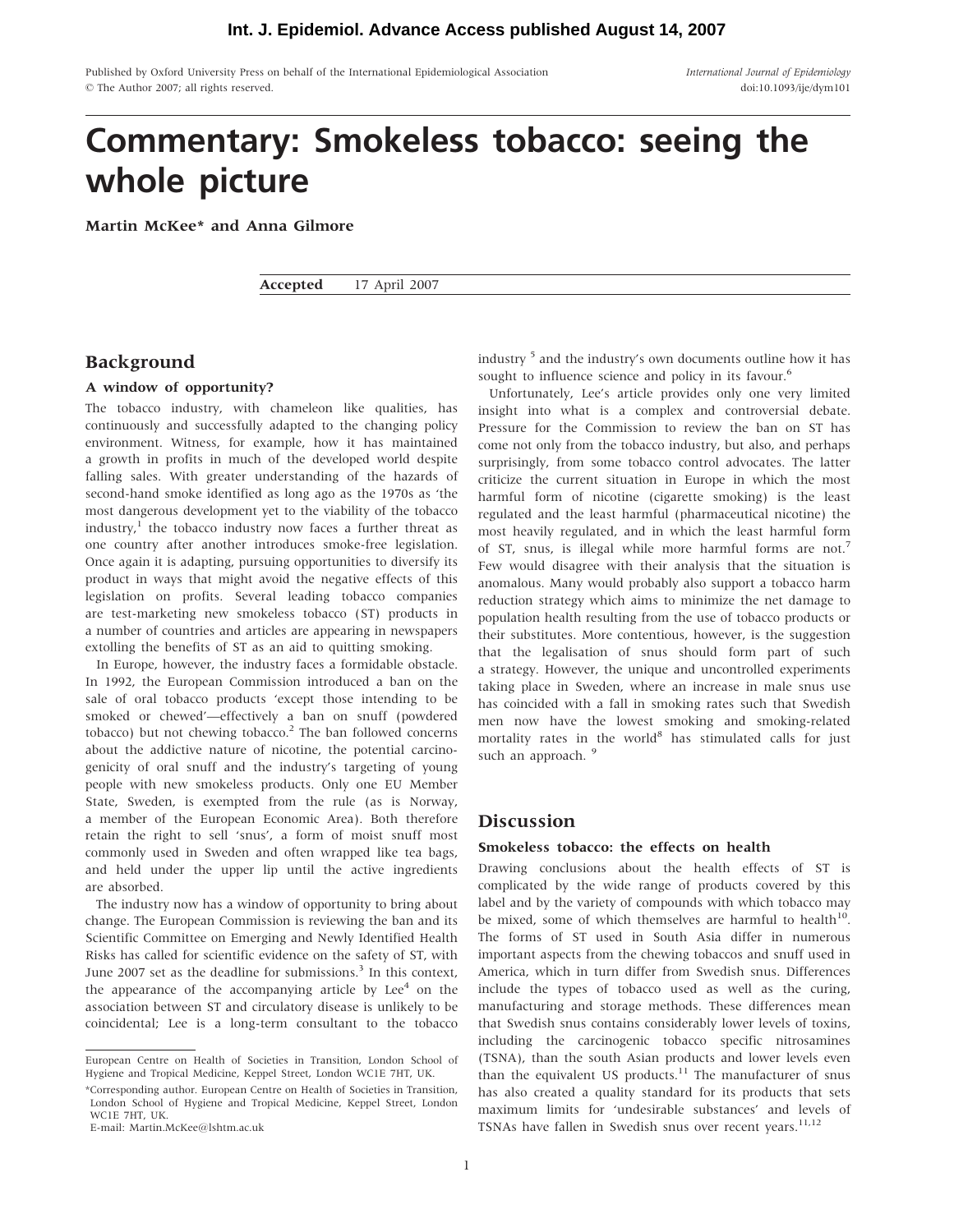Published by Oxford University Press on behalf of the International Epidemiological Association  $© The Author 2007; all rights reserved.$ 

International Journal of Epidemiology doi:10.1093/ije/dym101

# Commentary: Smokeless tobacco: seeing the whole picture

Martin McKee\* and Anna Gilmore

Accepted 17 April 2007

## **Background**

#### A window of opportunity?

The tobacco industry, with chameleon like qualities, has continuously and successfully adapted to the changing policy environment. Witness, for example, how it has maintained a growth in profits in much of the developed world despite falling sales. With greater understanding of the hazards of second-hand smoke identified as long ago as the 1970s as 'the most dangerous development yet to the viability of the tobacco industry, $1$  the tobacco industry now faces a further threat as one country after another introduces smoke-free legislation. Once again it is adapting, pursuing opportunities to diversify its product in ways that might avoid the negative effects of this legislation on profits. Several leading tobacco companies are test-marketing new smokeless tobacco (ST) products in a number of countries and articles are appearing in newspapers extolling the benefits of ST as an aid to quitting smoking.

In Europe, however, the industry faces a formidable obstacle. In 1992, the European Commission introduced a ban on the sale of oral tobacco products 'except those intending to be smoked or chewed'—effectively a ban on snuff (powdered tobacco) but not chewing tobacco. $<sup>2</sup>$  The ban followed concerns</sup> about the addictive nature of nicotine, the potential carcinogenicity of oral snuff and the industry's targeting of young people with new smokeless products. Only one EU Member State, Sweden, is exempted from the rule (as is Norway, a member of the European Economic Area). Both therefore retain the right to sell 'snus', a form of moist snuff most commonly used in Sweden and often wrapped like tea bags, and held under the upper lip until the active ingredients are absorbed.

The industry now has a window of opportunity to bring about change. The European Commission is reviewing the ban and its Scientific Committee on Emerging and Newly Identified Health Risks has called for scientific evidence on the safety of ST, with June 2007 set as the deadline for submissions.<sup>3</sup> In this context, the appearance of the accompanying article by Lee<sup>4</sup> on the association between ST and circulatory disease is unlikely to be coincidental; Lee is a long-term consultant to the tobacco

E-mail: Martin.McKee@lshtm.ac.uk

industry <sup>5</sup> and the industry's own documents outline how it has sought to influence science and policy in its favour.<sup>6</sup>

Unfortunately, Lee's article provides only one very limited insight into what is a complex and controversial debate. Pressure for the Commission to review the ban on ST has come not only from the tobacco industry, but also, and perhaps surprisingly, from some tobacco control advocates. The latter criticize the current situation in Europe in which the most harmful form of nicotine (cigarette smoking) is the least regulated and the least harmful (pharmaceutical nicotine) the most heavily regulated, and in which the least harmful form of ST, snus, is illegal while more harmful forms are not.<sup>7</sup> Few would disagree with their analysis that the situation is anomalous. Many would probably also support a tobacco harm reduction strategy which aims to minimize the net damage to population health resulting from the use of tobacco products or their substitutes. More contentious, however, is the suggestion that the legalisation of snus should form part of such a strategy. However, the unique and uncontrolled experiments taking place in Sweden, where an increase in male snus use has coincided with a fall in smoking rates such that Swedish men now have the lowest smoking and smoking-related mortality rates in the world $8$  has stimulated calls for just such an approach.<sup>9</sup>

### **Discussion**

## Smokeless tobacco: the effects on health

Drawing conclusions about the health effects of ST is complicated by the wide range of products covered by this label and by the variety of compounds with which tobacco may be mixed, some of which themselves are harmful to health<sup>10</sup>. The forms of ST used in South Asia differ in numerous important aspects from the chewing tobaccos and snuff used in America, which in turn differ from Swedish snus. Differences include the types of tobacco used as well as the curing, manufacturing and storage methods. These differences mean that Swedish snus contains considerably lower levels of toxins, including the carcinogenic tobacco specific nitrosamines (TSNA), than the south Asian products and lower levels even than the equivalent US products.<sup>11</sup> The manufacturer of snus has also created a quality standard for its products that sets maximum limits for 'undesirable substances' and levels of TSNAs have fallen in Swedish snus over recent years.<sup>11,12</sup>

European Centre on Health of Societies in Transition, London School of Hygiene and Tropical Medicine, Keppel Street, London WC1E 7HT, UK.

<sup>\*</sup>Corresponding author. European Centre on Health of Societies in Transition, London School of Hygiene and Tropical Medicine, Keppel Street, London WC1F 7HT, UK.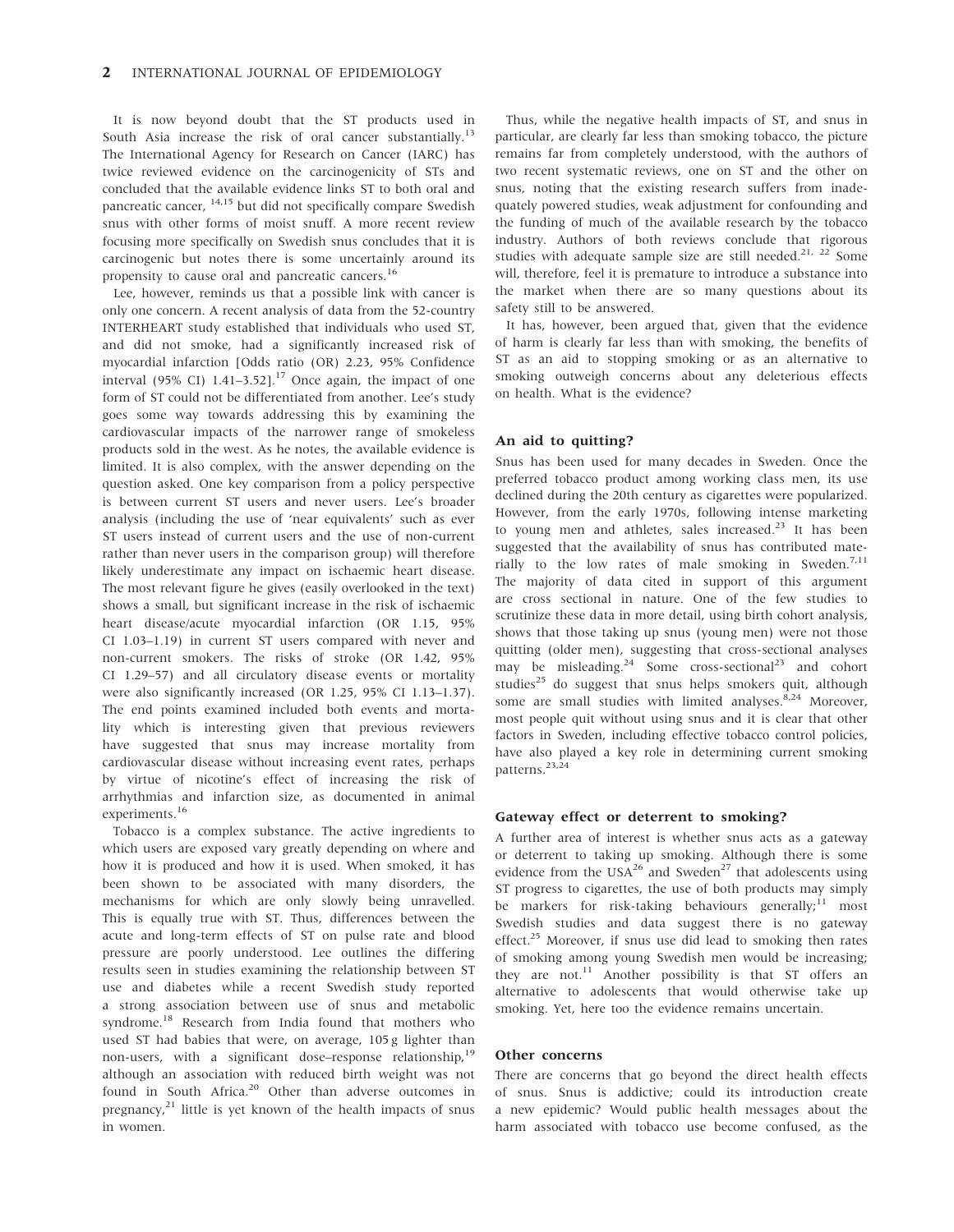It is now beyond doubt that the ST products used in South Asia increase the risk of oral cancer substantially.<sup>13</sup> The International Agency for Research on Cancer (IARC) has twice reviewed evidence on the carcinogenicity of STs and concluded that the available evidence links ST to both oral and pancreatic cancer, 14,15 but did not specifically compare Swedish snus with other forms of moist snuff. A more recent review focusing more specifically on Swedish snus concludes that it is carcinogenic but notes there is some uncertainly around its propensity to cause oral and pancreatic cancers.<sup>16</sup>

Lee, however, reminds us that a possible link with cancer is only one concern. A recent analysis of data from the 52-country INTERHEART study established that individuals who used ST, and did not smoke, had a significantly increased risk of myocardial infarction [Odds ratio (OR) 2.23, 95% Confidence interval (95% CI)  $1.41-3.52$ ].<sup>17</sup> Once again, the impact of one form of ST could not be differentiated from another. Lee's study goes some way towards addressing this by examining the cardiovascular impacts of the narrower range of smokeless products sold in the west. As he notes, the available evidence is limited. It is also complex, with the answer depending on the question asked. One key comparison from a policy perspective is between current ST users and never users. Lee's broader analysis (including the use of 'near equivalents' such as ever ST users instead of current users and the use of non-current rather than never users in the comparison group) will therefore likely underestimate any impact on ischaemic heart disease. The most relevant figure he gives (easily overlooked in the text) shows a small, but significant increase in the risk of ischaemic heart disease/acute myocardial infarction (OR 1.15, 95% CI 1.03–1.19) in current ST users compared with never and non-current smokers. The risks of stroke (OR 1.42, 95% CI 1.29–57) and all circulatory disease events or mortality were also significantly increased (OR 1.25, 95% CI 1.13–1.37). The end points examined included both events and mortality which is interesting given that previous reviewers have suggested that snus may increase mortality from cardiovascular disease without increasing event rates, perhaps by virtue of nicotine's effect of increasing the risk of arrhythmias and infarction size, as documented in animal experiments.<sup>16</sup>

Tobacco is a complex substance. The active ingredients to which users are exposed vary greatly depending on where and how it is produced and how it is used. When smoked, it has been shown to be associated with many disorders, the mechanisms for which are only slowly being unravelled. This is equally true with ST. Thus, differences between the acute and long-term effects of ST on pulse rate and blood pressure are poorly understood. Lee outlines the differing results seen in studies examining the relationship between ST use and diabetes while a recent Swedish study reported a strong association between use of snus and metabolic syndrome.<sup>18</sup> Research from India found that mothers who used ST had babies that were, on average, 105 g lighter than non-users, with a significant dose–response relationship,<sup>19</sup> although an association with reduced birth weight was not found in South Africa.<sup>20</sup> Other than adverse outcomes in pregnancy,<sup>21</sup> little is yet known of the health impacts of snus in women.

Thus, while the negative health impacts of ST, and snus in particular, are clearly far less than smoking tobacco, the picture remains far from completely understood, with the authors of two recent systematic reviews, one on ST and the other on snus, noting that the existing research suffers from inadequately powered studies, weak adjustment for confounding and the funding of much of the available research by the tobacco industry. Authors of both reviews conclude that rigorous studies with adequate sample size are still needed.<sup>21, 22</sup> Some will, therefore, feel it is premature to introduce a substance into the market when there are so many questions about its safety still to be answered.

It has, however, been argued that, given that the evidence of harm is clearly far less than with smoking, the benefits of ST as an aid to stopping smoking or as an alternative to smoking outweigh concerns about any deleterious effects on health. What is the evidence?

#### An aid to quitting?

Snus has been used for many decades in Sweden. Once the preferred tobacco product among working class men, its use declined during the 20th century as cigarettes were popularized. However, from the early 1970s, following intense marketing to young men and athletes, sales increased. $23$  It has been suggested that the availability of snus has contributed materially to the low rates of male smoking in Sweden.<sup>7,11</sup> The majority of data cited in support of this argument are cross sectional in nature. One of the few studies to scrutinize these data in more detail, using birth cohort analysis, shows that those taking up snus (young men) were not those quitting (older men), suggesting that cross-sectional analyses may be misleading.<sup>24</sup> Some cross-sectional<sup>23</sup> and cohort studies<sup>25</sup> do suggest that snus helps smokers quit, although some are small studies with limited analyses.  $8,24$  Moreover, most people quit without using snus and it is clear that other factors in Sweden, including effective tobacco control policies, have also played a key role in determining current smoking patterns.23,24

#### Gateway effect or deterrent to smoking?

A further area of interest is whether snus acts as a gateway or deterrent to taking up smoking. Although there is some evidence from the USA<sup>26</sup> and Sweden<sup>27</sup> that adolescents using ST progress to cigarettes, the use of both products may simply be markers for risk-taking behaviours generally; $^{11}$  most Swedish studies and data suggest there is no gateway effect.<sup>25</sup> Moreover, if snus use did lead to smoking then rates of smoking among young Swedish men would be increasing; they are  $not.<sup>11</sup>$  Another possibility is that ST offers an alternative to adolescents that would otherwise take up smoking. Yet, here too the evidence remains uncertain.

#### Other concerns

There are concerns that go beyond the direct health effects of snus. Snus is addictive; could its introduction create a new epidemic? Would public health messages about the harm associated with tobacco use become confused, as the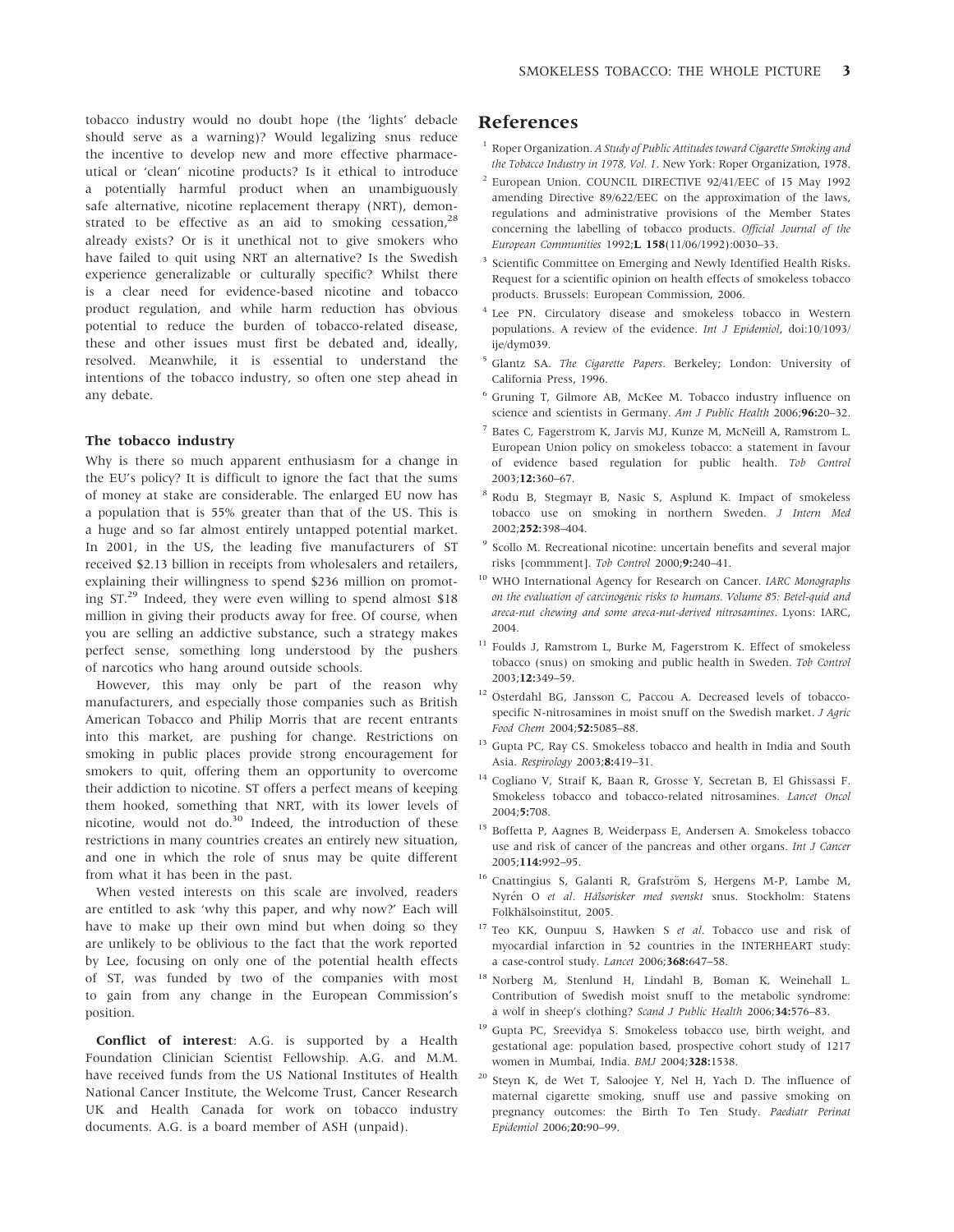tobacco industry would no doubt hope (the 'lights' debacle should serve as a warning)? Would legalizing snus reduce the incentive to develop new and more effective pharmaceutical or 'clean' nicotine products? Is it ethical to introduce a potentially harmful product when an unambiguously safe alternative, nicotine replacement therapy (NRT), demonstrated to be effective as an aid to smoking cessation,  $28$ already exists? Or is it unethical not to give smokers who have failed to quit using NRT an alternative? Is the Swedish experience generalizable or culturally specific? Whilst there is a clear need for evidence-based nicotine and tobacco product regulation, and while harm reduction has obvious potential to reduce the burden of tobacco-related disease, these and other issues must first be debated and, ideally, resolved. Meanwhile, it is essential to understand the intentions of the tobacco industry, so often one step ahead in any debate.

#### The tobacco industry

Why is there so much apparent enthusiasm for a change in the EU's policy? It is difficult to ignore the fact that the sums of money at stake are considerable. The enlarged EU now has a population that is 55% greater than that of the US. This is a huge and so far almost entirely untapped potential market. In 2001, in the US, the leading five manufacturers of ST received \$2.13 billion in receipts from wholesalers and retailers, explaining their willingness to spend \$236 million on promoting  $ST<sup>29</sup>$  Indeed, they were even willing to spend almost \$18 million in giving their products away for free. Of course, when you are selling an addictive substance, such a strategy makes perfect sense, something long understood by the pushers of narcotics who hang around outside schools.

However, this may only be part of the reason why manufacturers, and especially those companies such as British American Tobacco and Philip Morris that are recent entrants into this market, are pushing for change. Restrictions on smoking in public places provide strong encouragement for smokers to quit, offering them an opportunity to overcome their addiction to nicotine. ST offers a perfect means of keeping them hooked, something that NRT, with its lower levels of nicotine, would not do. $30$  Indeed, the introduction of these restrictions in many countries creates an entirely new situation, and one in which the role of snus may be quite different from what it has been in the past.

When vested interests on this scale are involved, readers are entitled to ask 'why this paper, and why now?' Each will have to make up their own mind but when doing so they are unlikely to be oblivious to the fact that the work reported by Lee, focusing on only one of the potential health effects of ST, was funded by two of the companies with most to gain from any change in the European Commission's position.

Conflict of interest: A.G. is supported by a Health Foundation Clinician Scientist Fellowship. A.G. and M.M. have received funds from the US National Institutes of Health National Cancer Institute, the Welcome Trust, Cancer Research UK and Health Canada for work on tobacco industry documents. A.G. is a board member of ASH (unpaid).

## References

- $1$  Roper Organization. A Study of Public Attitudes toward Cigarette Smoking and the Tobacco Industry in 1978, Vol. 1. New York: Roper Organization, 1978.
- <sup>2</sup> European Union. COUNCIL DIRECTIVE 92/41/EEC of 15 May 1992 amending Directive 89/622/EEC on the approximation of the laws, regulations and administrative provisions of the Member States concerning the labelling of tobacco products. Official Journal of the European Communities 1992;L 158(11/06/1992):0030–33.
- <sup>3</sup> Scientific Committee on Emerging and Newly Identified Health Risks. Request for a scientific opinion on health effects of smokeless tobacco products. Brussels: European Commission, 2006.
- <sup>4</sup> Lee PN. Circulatory disease and smokeless tobacco in Western populations. A review of the evidence. Int J Epidemiol, doi:10/1093/ ije/dym039.
- <sup>5</sup> Glantz SA. The Cigarette Papers. Berkeley; London: University of California Press, 1996.
- <sup>6</sup> Gruning T, Gilmore AB, McKee M. Tobacco industry influence on science and scientists in Germany. Am J Public Health 2006;96:20-32.
- <sup>7</sup> Bates C, Fagerstrom K, Jarvis MJ, Kunze M, McNeill A, Ramstrom L. European Union policy on smokeless tobacco: a statement in favour of evidence based regulation for public health. Tob Control 2003;12:360–67.
- <sup>8</sup> Rodu B, Stegmayr B, Nasic S, Asplund K. Impact of smokeless tobacco use on smoking in northern Sweden. J Intern Med 2002;252:398–404.
- <sup>9</sup> Scollo M. Recreational nicotine: uncertain benefits and several major risks [commment]. Tob Control 2000;9:240-41.
- <sup>10</sup> WHO International Agency for Research on Cancer. IARC Monographs on the evaluation of carcinogenic risks to humans. Volume 85: Betel-quid and areca-nut chewing and some areca-nut-derived nitrosamines. Lyons: IARC, 2004.
- <sup>11</sup> Foulds J, Ramstrom L, Burke M, Fagerstrom K. Effect of smokeless tobacco (snus) on smoking and public health in Sweden. Tob Control 2003;12:349–59.
- <sup>12</sup> Osterdahl BG, Jansson C, Paccou A. Decreased levels of tobaccospecific N-nitrosamines in moist snuff on the Swedish market. *J Agric* Food Chem 2004;52:5085–88.
- <sup>13</sup> Gupta PC, Ray CS. Smokeless tobacco and health in India and South Asia. Respirology 2003;8:419–31.
- <sup>14</sup> Cogliano V, Straif K, Baan R, Grosse Y, Secretan B, El Ghissassi F. Smokeless tobacco and tobacco-related nitrosamines. Lancet Oncol 2004;5:708.
- <sup>15</sup> Boffetta P, Aagnes B, Weiderpass E, Andersen A. Smokeless tobacco use and risk of cancer of the pancreas and other organs. Int J Cancer 2005;114:992–95.
- Cnattingius S, Galanti R, Grafström S, Hergens M-P, Lambe M, Nyrén O et al. Hälsorisker med svenskt snus. Stockholm: Statens Folkhälsoinstitut, 2005.
- <sup>17</sup> Teo KK, Ounpuu S, Hawken S et al. Tobacco use and risk of myocardial infarction in 52 countries in the INTERHEART study: a case-control study. Lancet 2006;368:647–58.
- <sup>18</sup> Norberg M, Stenlund H, Lindahl B, Boman K, Weinehall L. Contribution of Swedish moist snuff to the metabolic syndrome: a wolf in sheep's clothing? Scand J Public Health 2006;34:576-83.
- <sup>19</sup> Gupta PC, Sreevidya S. Smokeless tobacco use, birth weight, and gestational age: population based, prospective cohort study of 1217 women in Mumbai, India. BMJ 2004;328:1538.
- <sup>20</sup> Steyn K, de Wet T, Saloojee Y, Nel H, Yach D. The influence of maternal cigarette smoking, snuff use and passive smoking on pregnancy outcomes: the Birth To Ten Study. Paediatr Perinat Epidemiol 2006;20:90–99.